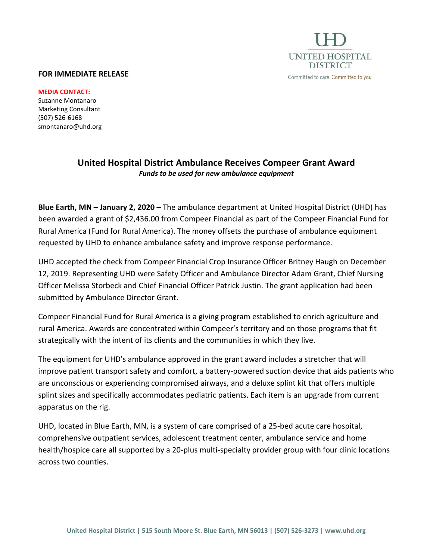

## **FOR IMMEDIATE RELEASE**

**MEDIA CONTACT:**

Suzanne Montanaro Marketing Consultant (507) 526-6168 smontanaro@uhd.org

## **United Hospital District Ambulance Receives Compeer Grant Award** *Funds to be used for new ambulance equipment*

**Blue Earth, MN – January 2, 2020 –** The ambulance department at United Hospital District (UHD) has been awarded a grant of \$2,436.00 from Compeer Financial as part of the Compeer Financial Fund for Rural America (Fund for Rural America). The money offsets the purchase of ambulance equipment requested by UHD to enhance ambulance safety and improve response performance.

UHD accepted the check from Compeer Financial Crop Insurance Officer Britney Haugh on December 12, 2019. Representing UHD were Safety Officer and Ambulance Director Adam Grant, Chief Nursing Officer Melissa Storbeck and Chief Financial Officer Patrick Justin. The grant application had been submitted by Ambulance Director Grant.

Compeer Financial Fund for Rural America is a giving program established to enrich agriculture and rural America. Awards are concentrated within Compeer's territory and on those programs that fit strategically with the intent of its clients and the communities in which they live.

The equipment for UHD's ambulance approved in the grant award includes a stretcher that will improve patient transport safety and comfort, a battery-powered suction device that aids patients who are unconscious or experiencing compromised airways, and a deluxe splint kit that offers multiple splint sizes and specifically accommodates pediatric patients. Each item is an upgrade from current apparatus on the rig.

UHD, located in Blue Earth, MN, is a system of care comprised of a 25-bed acute care hospital, comprehensive outpatient services, adolescent treatment center, ambulance service and home health/hospice care all supported by a 20-plus multi-specialty provider group with four clinic locations across two counties.